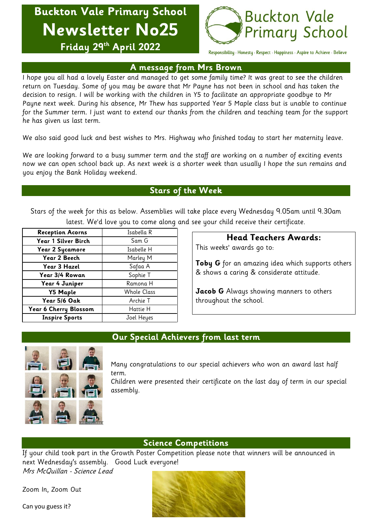**Buckton Vale Primary School Newsletter No25 Friday 29th April 2022**



Responsibility · Honesty · Respect · Happiness · Aspire to Achieve · Believe

### **A message from Mrs Brown**

I hope you all had a lovely Easter and managed to get some family time? It was great to see the children return on Tuesday. Some of you may be aware that Mr Payne has not been in school and has taken the decision to resign. I will be working with the children in Y5 to facilitate an appropriate goodbye to Mr Payne next week. During his absence, Mr Thew has supported Year 5 Maple class but is unable to continue for the Summer term. I just want to extend our thanks from the children and teaching team for the support he has given us last term.

We also said good luck and best wishes to Mrs. Highway who finished today to start her maternity leave.

We are looking forward to a busy summer term and the staff are working on a number of exciting events now we can open school back up. As next week is a shorter week than usually I hope the sun remains and you enjoy the Bank Holiday weekend.

# **Stars of the Week**

Stars of the week for this as below. Assemblies will take place every Wednesday 9.05am until 9.30am latest. We'd love you to come along and see your child receive their certificate.

| <b>Reception Acorns</b> | Isabella R         |
|-------------------------|--------------------|
| Year 1 Silver Birch     | Sam G              |
| <b>Year 2 Sycamore</b>  | Isabelle H         |
| Year 2 Beech            | Marley M           |
| Year 3 Hazel            | Safaa A            |
| Year 3/4 Rowan          | Sophie T           |
| Year 4 Juniper          | Ramona H           |
| <b>Y5 Maple</b>         | <b>Whole Class</b> |
| Year 5/6 Oak            | Archie T           |
| Year 6 Cherry Blossom   | Hattie H           |
| <b>Inspire Sports</b>   | Joel Heyes         |

# **Head Teachers Awards:**

This weeks' awards go to:

**Toby G** for an amazing idea which supports others & shows a caring & considerate attitude.

**Jacob G** Always showing manners to others throughout the school.



# **Our Special Achievers from last term**

Many congratulations to our special achievers who won an award last half term.

Children were presented their certificate on the last day of term in our special assembly.

#### **Science Competitions**

If your child took part in the Growth Poster Competition please note that winners will be announced in next Wednesday's assembly. Good Luck everyone!

Mrs McQuillan - Science Lead

Zoom In, Zoom Out

Can you guess it?

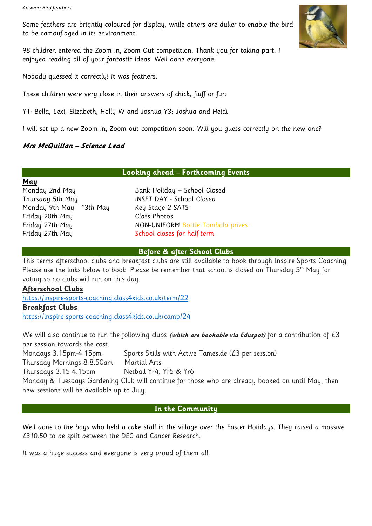Some feathers are brightly coloured for display, while others are duller to enable the bird to be camouflaged in its environment.

98 children entered the Zoom In, Zoom Out competition. Thank you for taking part. I enjoyed reading all of your fantastic ideas. Well done everyone!

Nobody guessed it correctly! It was feathers.

These children were very close in their answers of chick, fluff or fur:

Y1: Bella, Lexi, Elizabeth, Holly W and Joshua Y3: Joshua and Heidi

I will set up a new Zoom In, Zoom out competition soon. Will you guess correctly on the new one?

### **Mrs McQuillan – Science Lead**

#### **Looking ahead – Forthcoming Events**

**May** Thursday 5th May INSET DAY - School Closed Monday 9th May - 13th May Key Stage 2 SATS Friday 20th May Class Photos Friday 27th May School closes for half-term

Monday 2nd May Bank Holiday – School Closed Friday 27th May NON-UNIFORM Bottle Tombola prizes

#### **Before & after School Clubs**

This terms afterschool clubs and breakfast clubs are still available to book through Inspire Sports Coaching. Please use the links below to book. Please be remember that school is closed on Thursday 5<sup>th</sup> May for voting so no clubs will run on this day.

#### **Afterschool Clubs**

<https://inspire-sports-coaching.class4kids.co.uk/term/22> **Breakfast Clubs**

<https://inspire-sports-coaching.class4kids.co.uk/camp/24>

We will also continue to run the following clubs **(which are bookable via Eduspot)** for a contribution of £3 per session towards the cost. Mondays 3.15pm-4.15pm Sports Skills with Active Tameside (£3 per session) Thursday Mornings 8-8.50am Martial Arts Thursdays 3.15-4.15pm Netball Yr4, Yr5 & Yr6 Monday & Tuesdays Gardening Club will continue for those who are already booked on until May, then new sessions will be available up to July.

#### **In the Community**

Well done to the boys who held a cake stall in the village over the Easter Holidays. They raised a massive £310.50 to be split between the DEC and Cancer Research.

It was a huge success and everyone is very proud of them all.